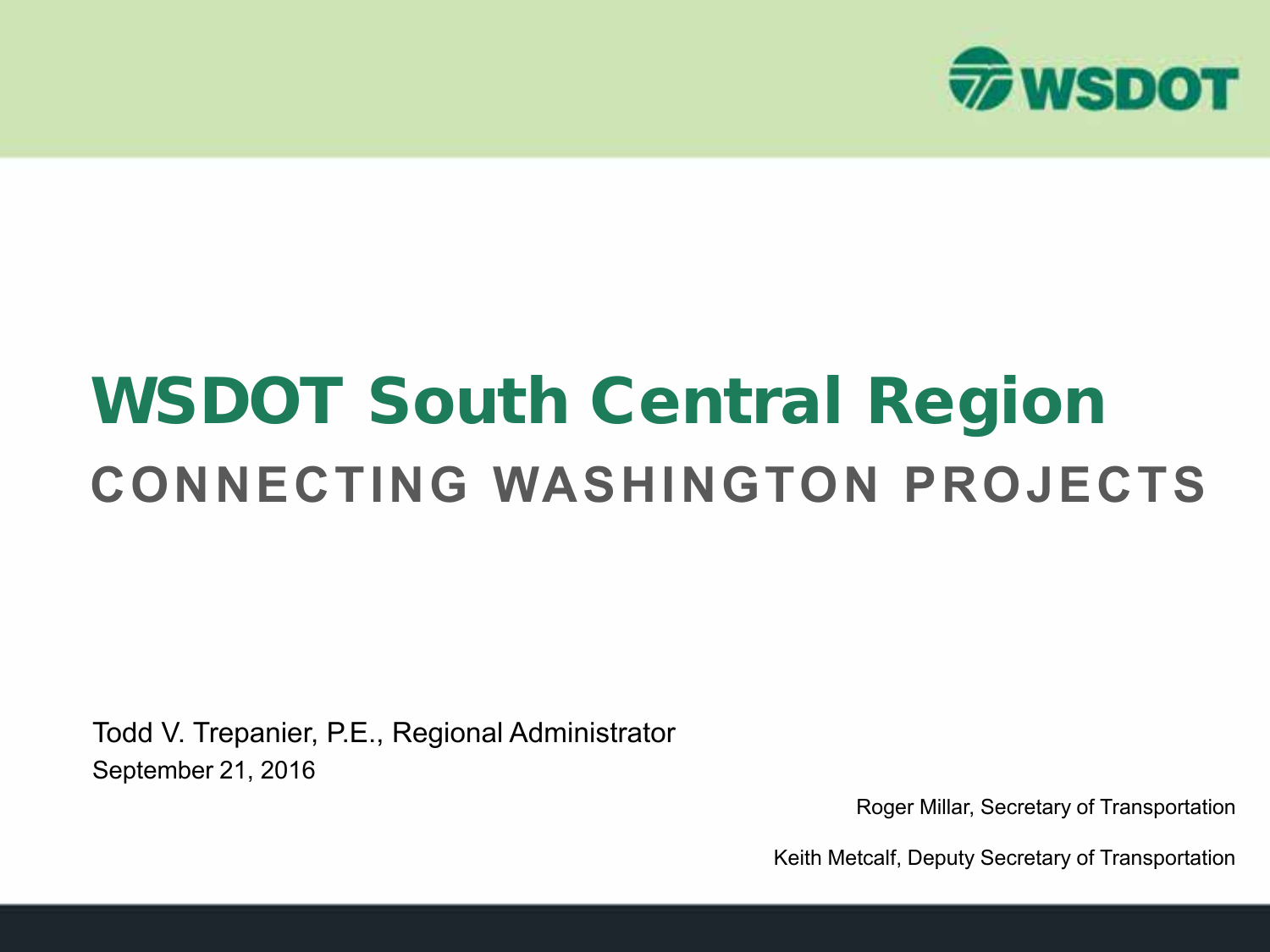

## WSDOT South Central Region **CONNECTING WASHINGTON PROJECTS**

Todd V. Trepanier, P.E., Regional Administrator September 21, 2016

Roger Millar, Secretary of Transportation

Keith Metcalf, Deputy Secretary of Transportation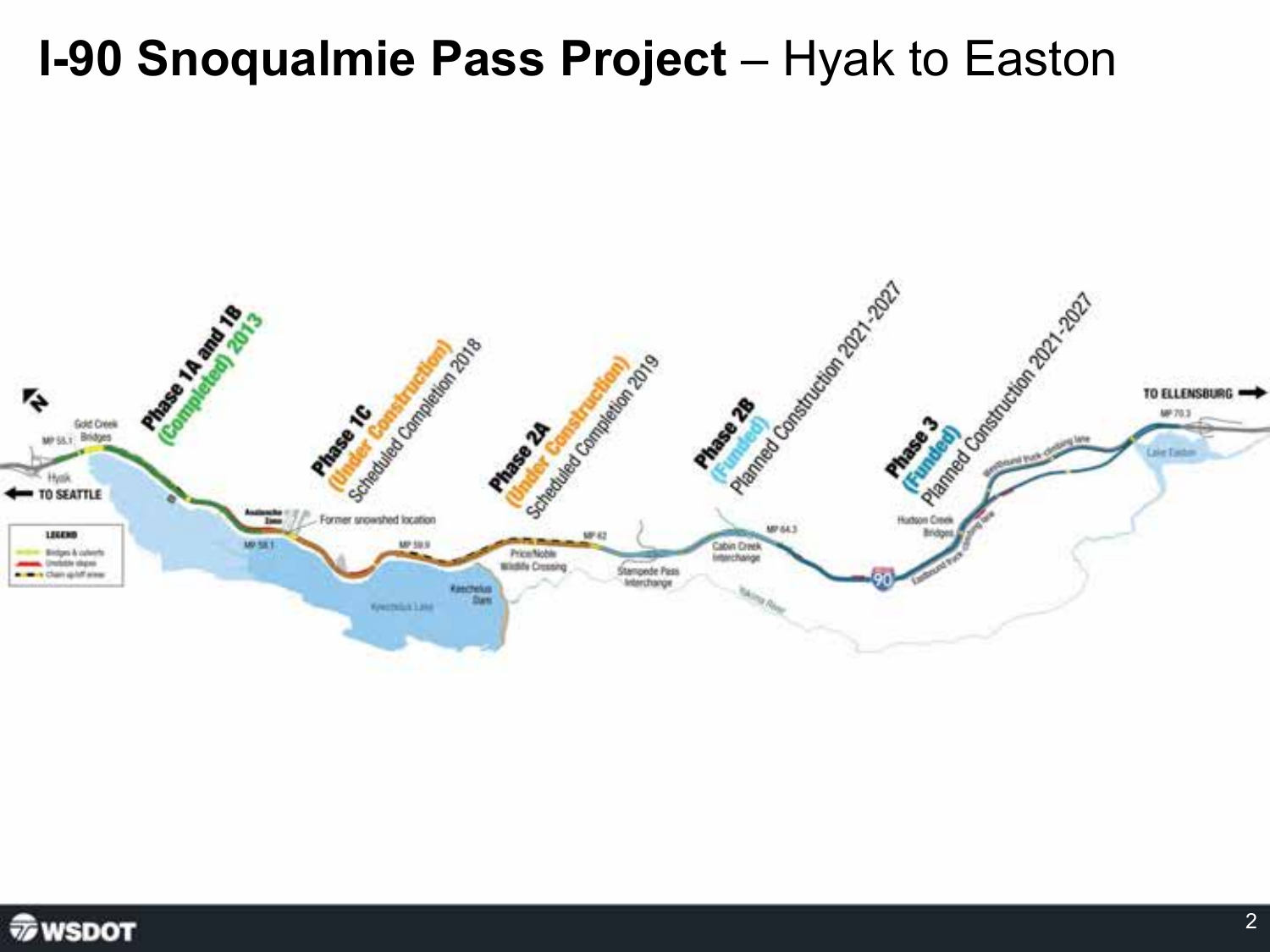#### **I-90 Snoqualmie Pass Project** - Hyak to Easton



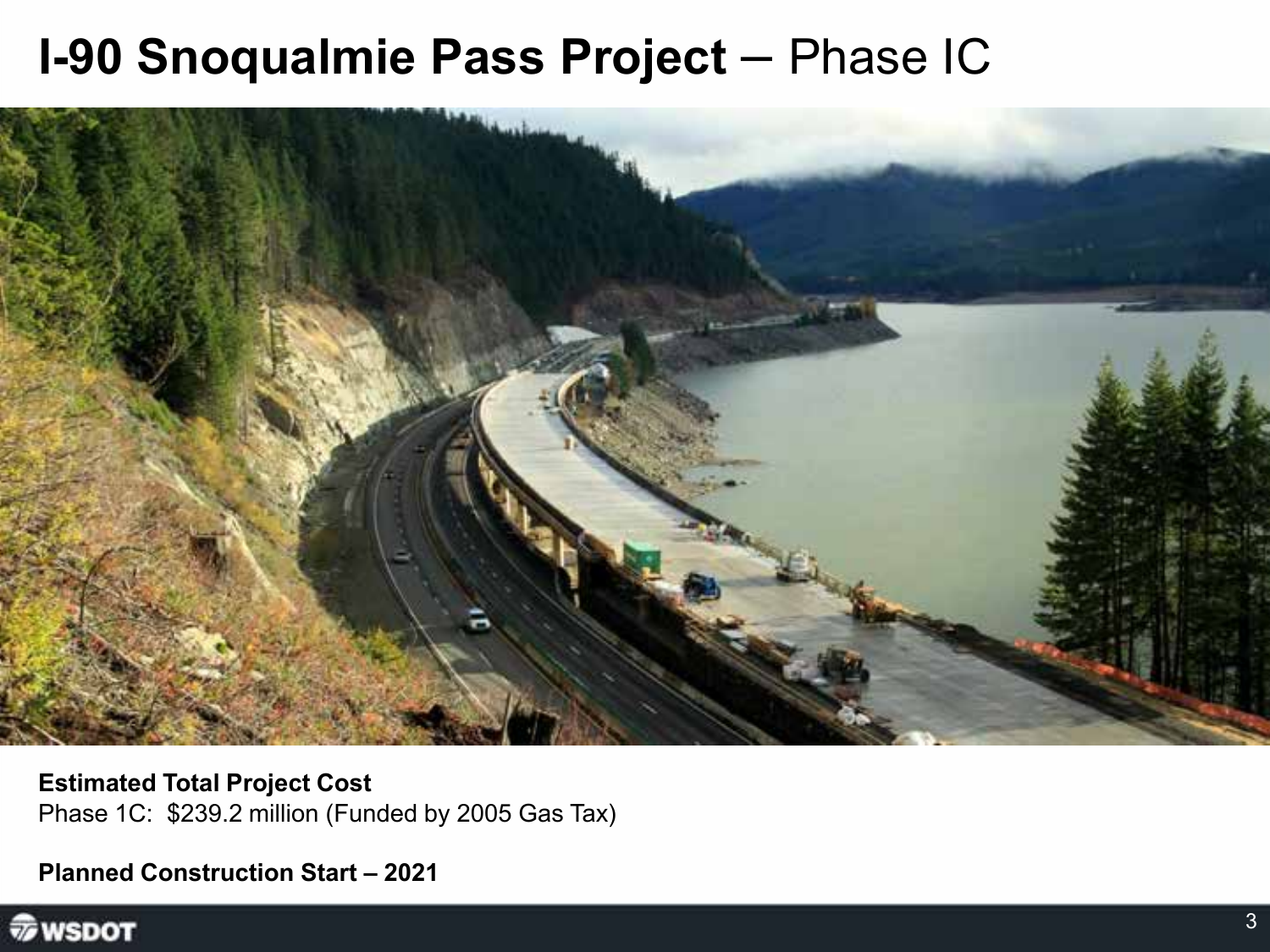#### **I-90 Snoqualmie Pass Project - Phase IC**



**Estimated Total Project Cost** Phase 1C: \$239.2 million (Funded by 2005 Gas Tax)

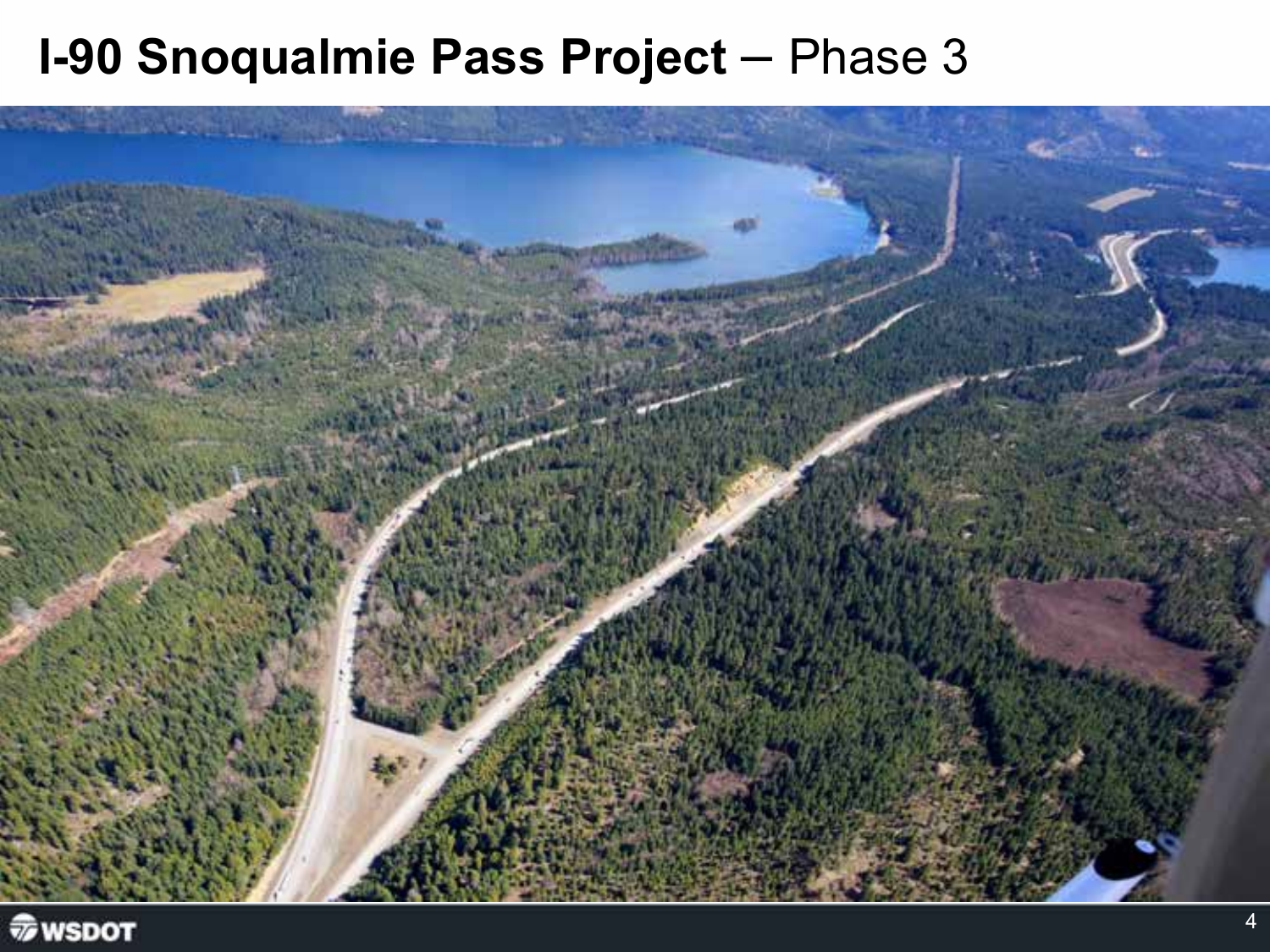#### **I-90 Snoqualmie Pass Project - Phase 3**



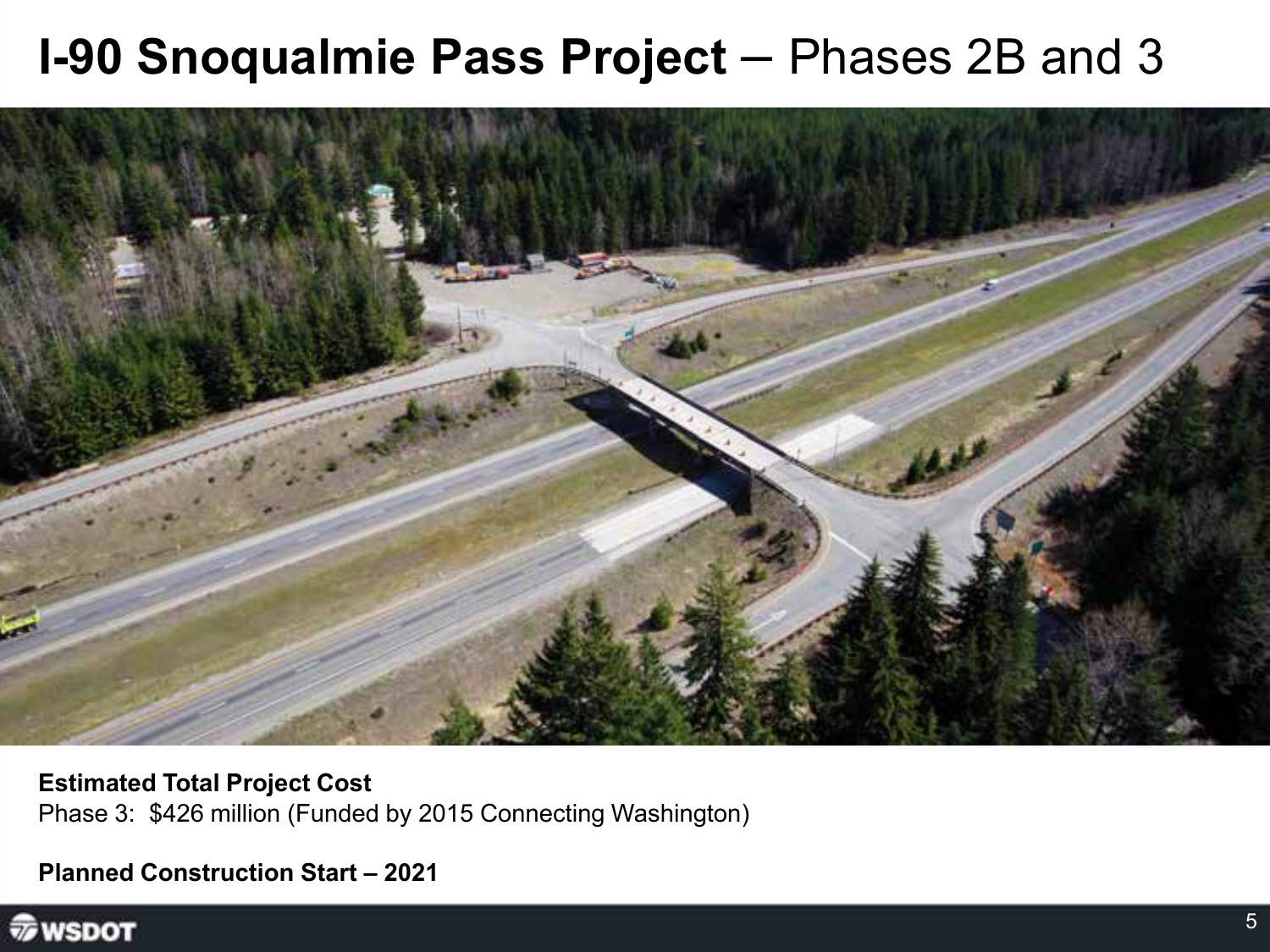#### **I-90 Snoqualmie Pass Project – Phases 2B and 3**



**Estimated Total Project Cost** Phase 3: \$426 million (Funded by 2015 Connecting Washington)

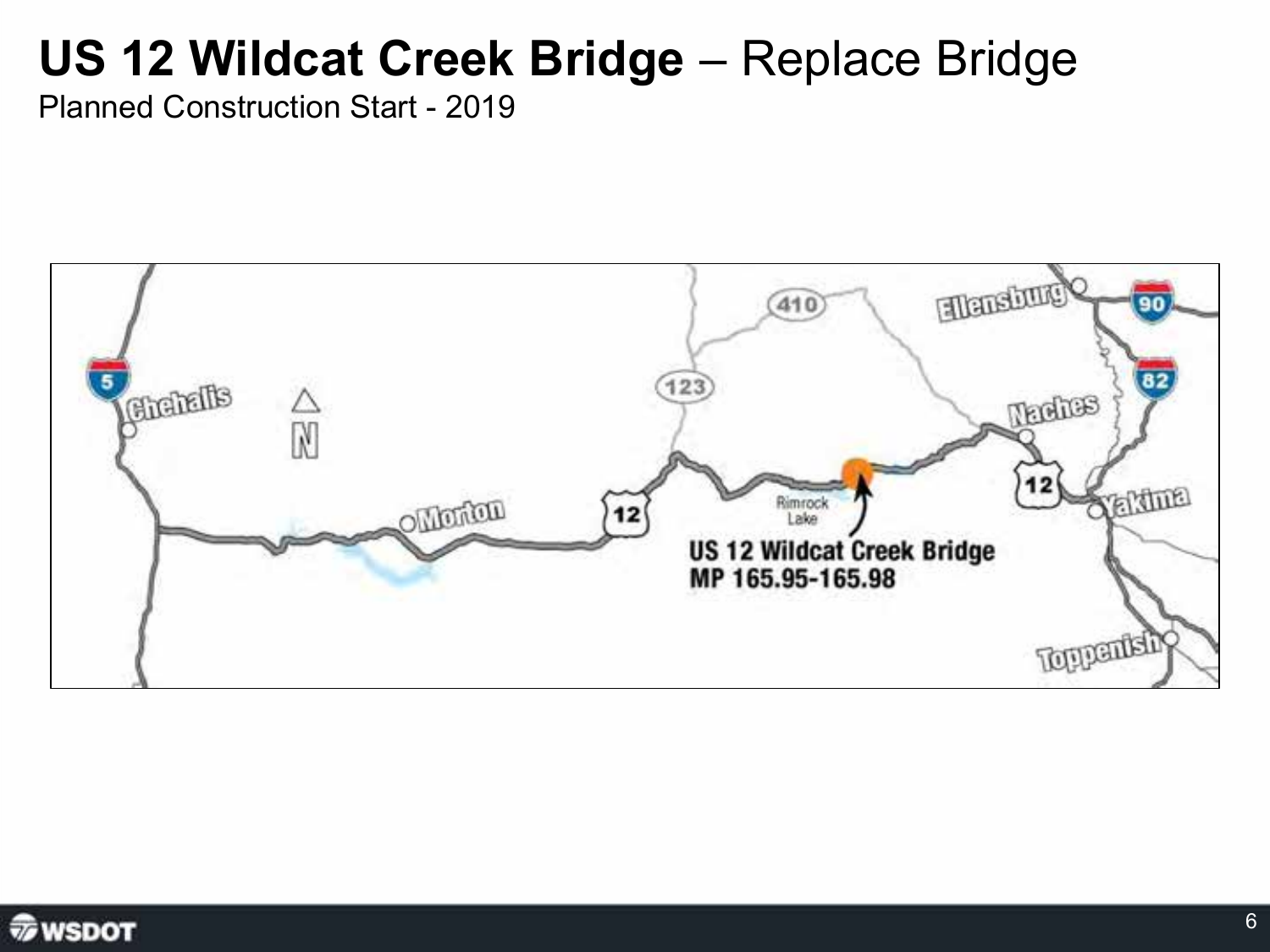### **US 12 Wildcat Creek Bridge - Replace Bridge**



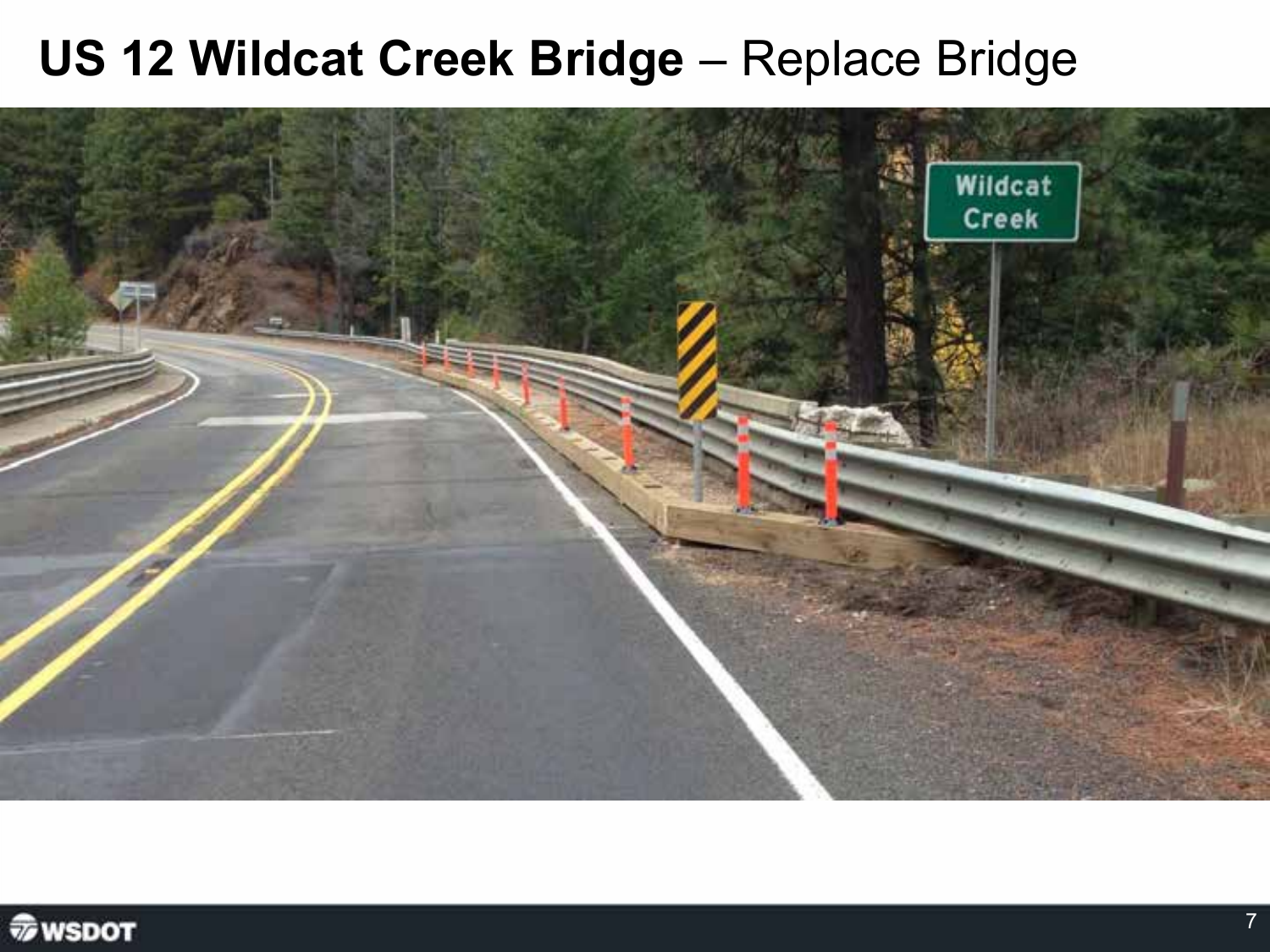#### **US 12 Wildcat Creek Bridge - Replace Bridge**



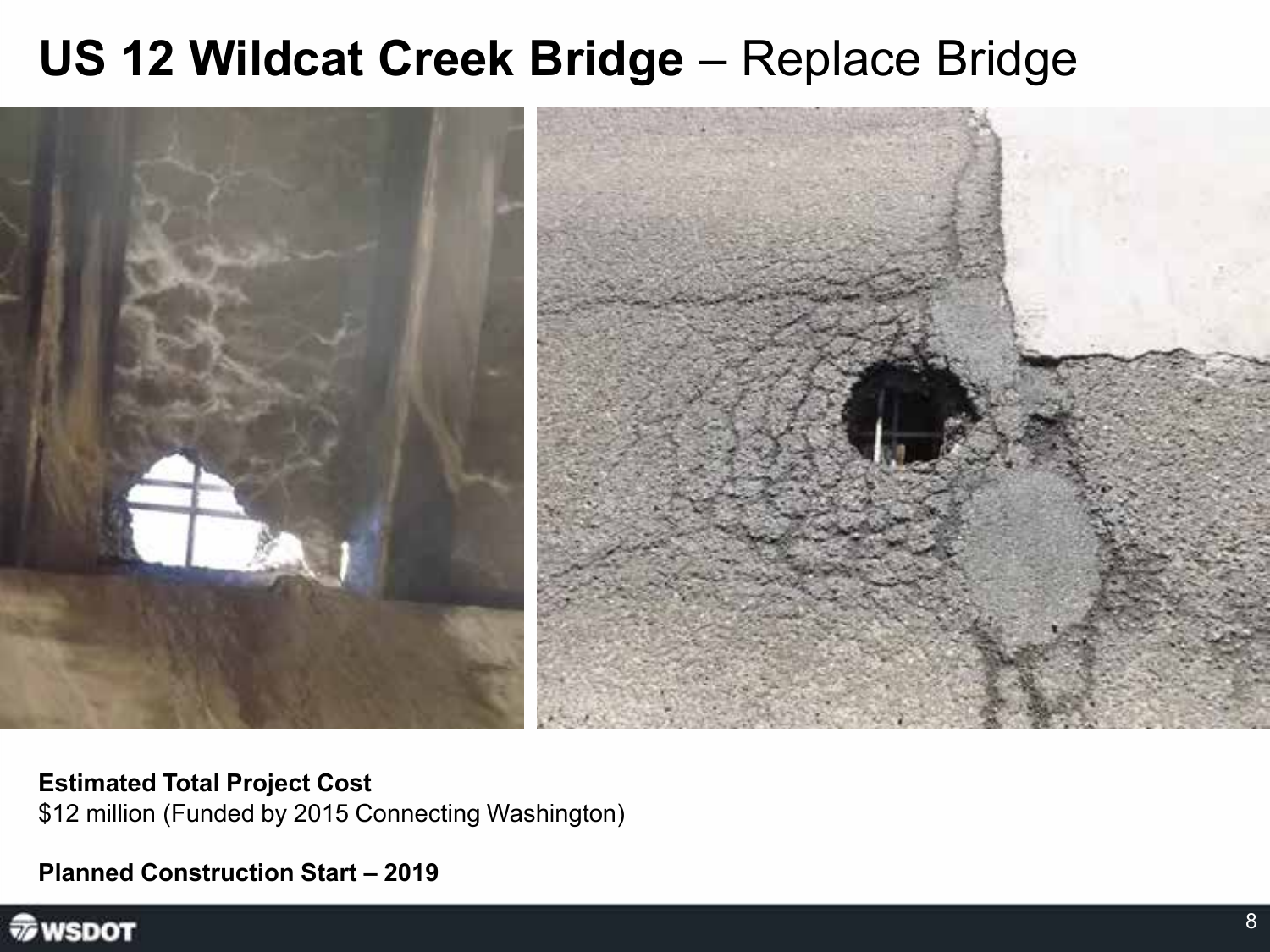#### **US 12 Wildcat Creek Bridge - Replace Bridge**



**Estimated Total Project Cost** \$12 million (Funded by 2015 Connecting Washington)

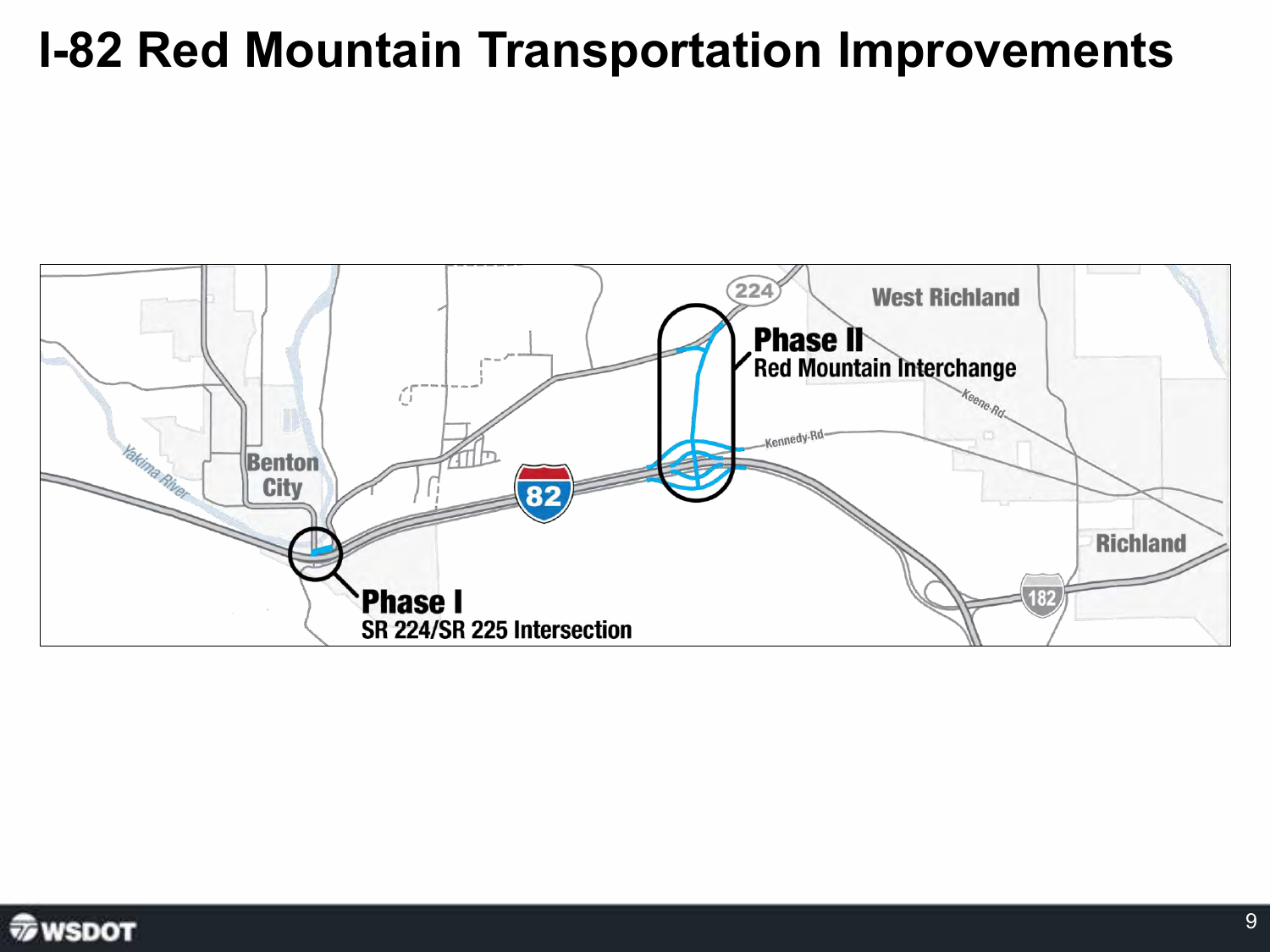#### **I-82 Red Mountain Transportation Improvements**



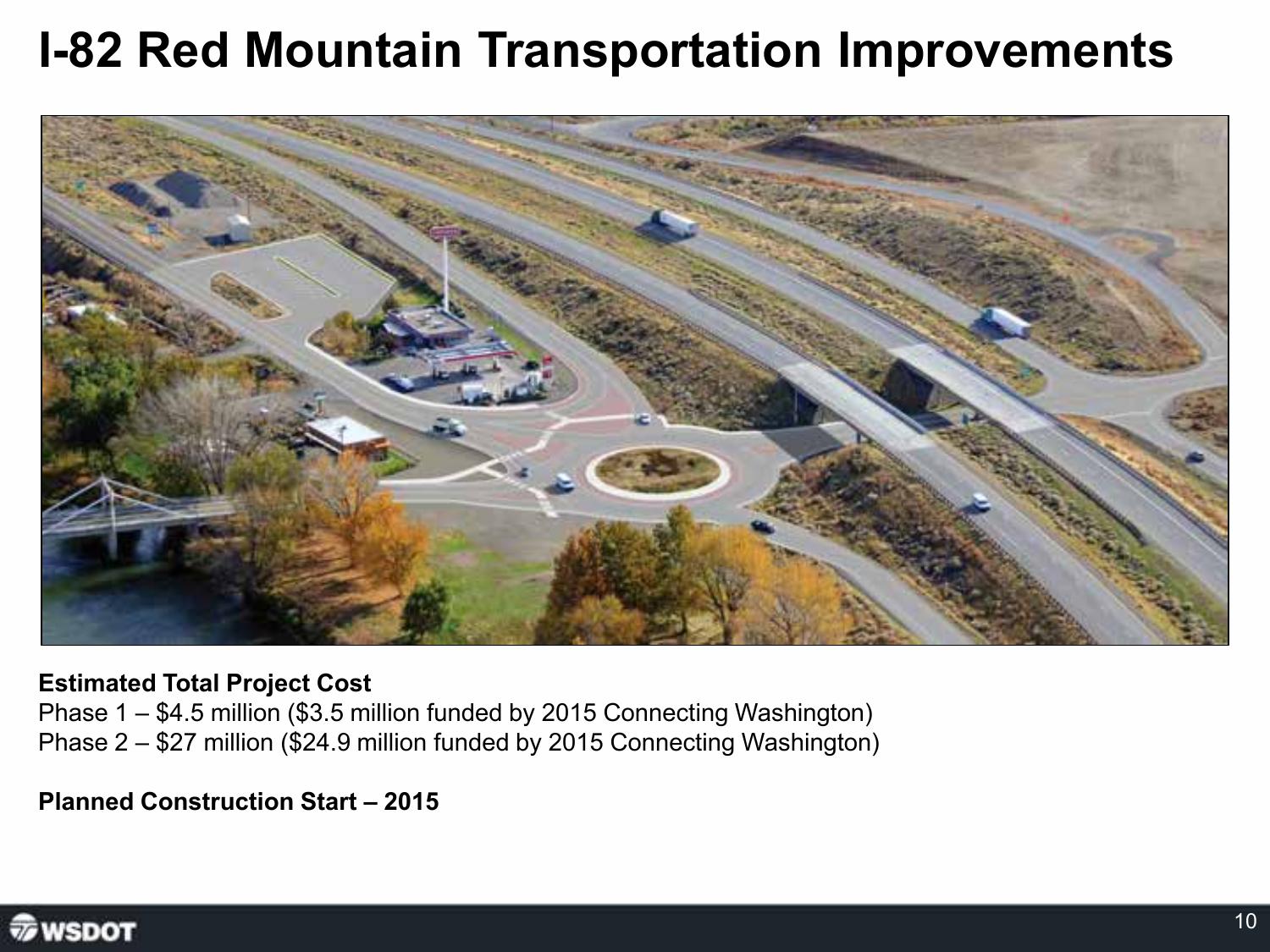### **I-82 Red Mountain Transportation Improvements**



#### **Estimated Total Project Cost**

Phase 1 – \$4.5 million (\$3.5 million funded by 2015 Connecting Washington) Phase 2 – \$27 million (\$24.9 million funded by 2015 Connecting Washington)

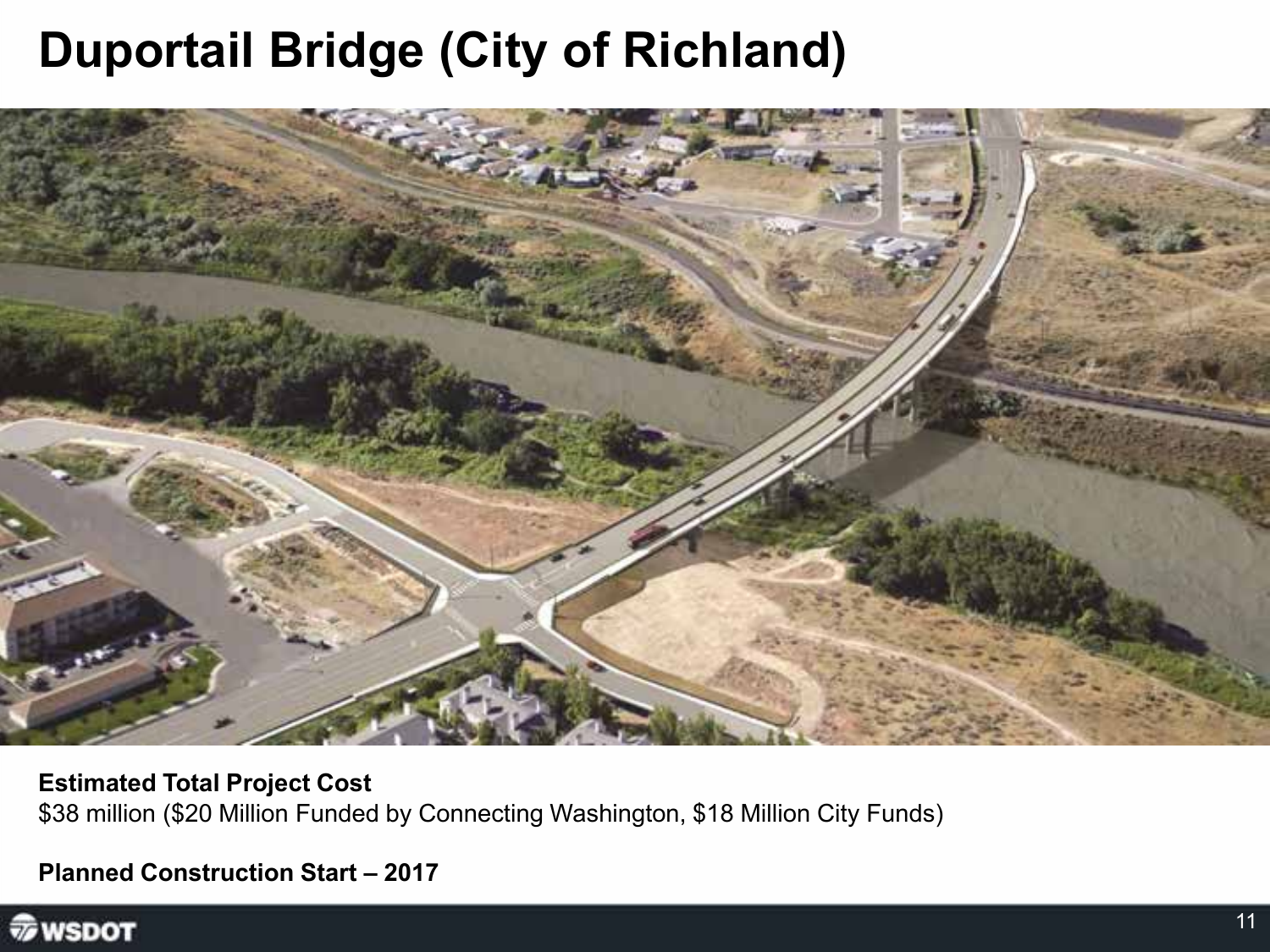### **Duportail Bridge (City of Richland)**



**Estimated Total Project Cost** \$38 million (\$20 Million Funded by Connecting Washington, \$18 Million City Funds)

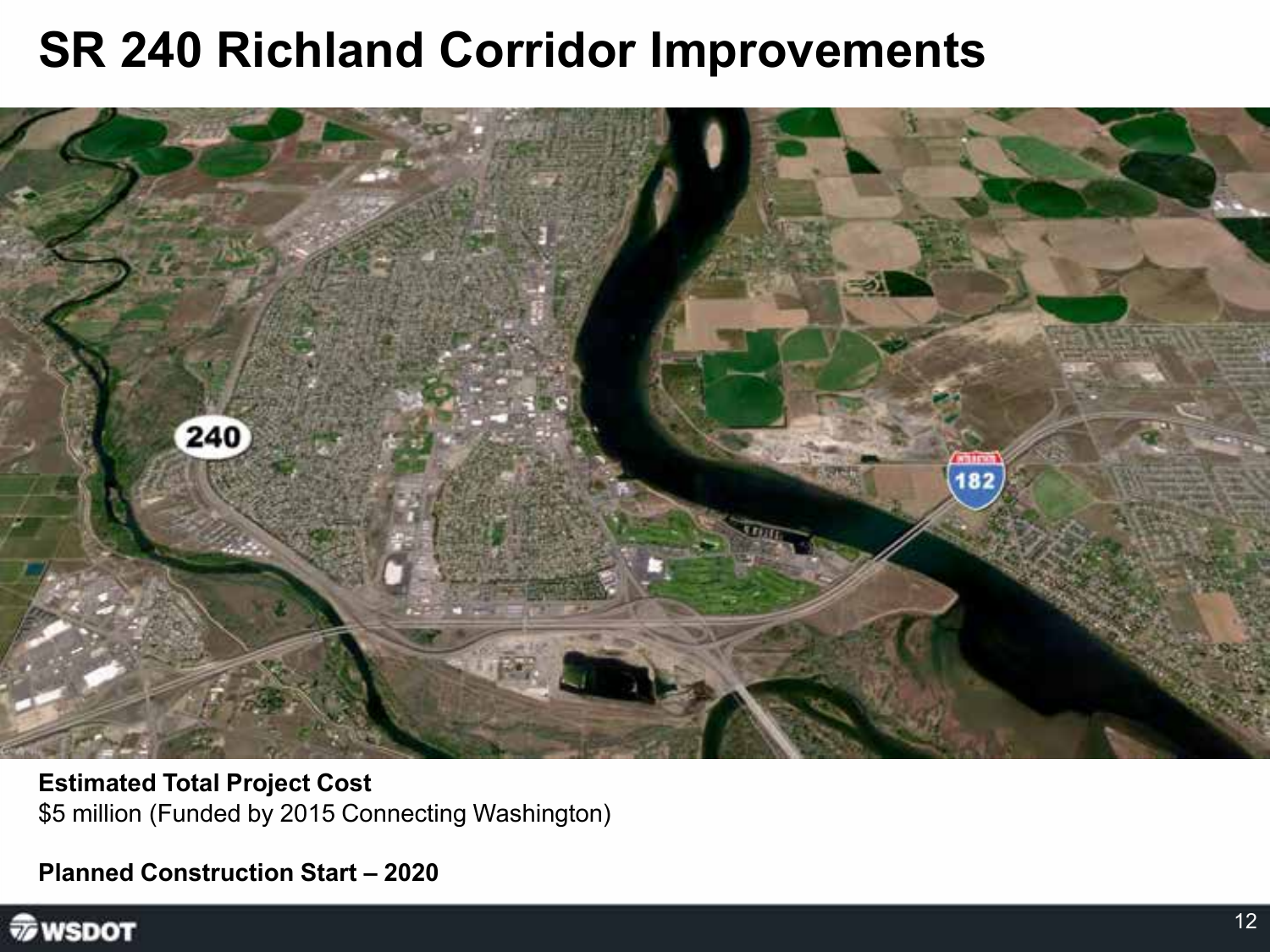#### **SR 240 Richland Corridor Improvements**



**Estimated Total Project Cost** \$5 million (Funded by 2015 Connecting Washington)

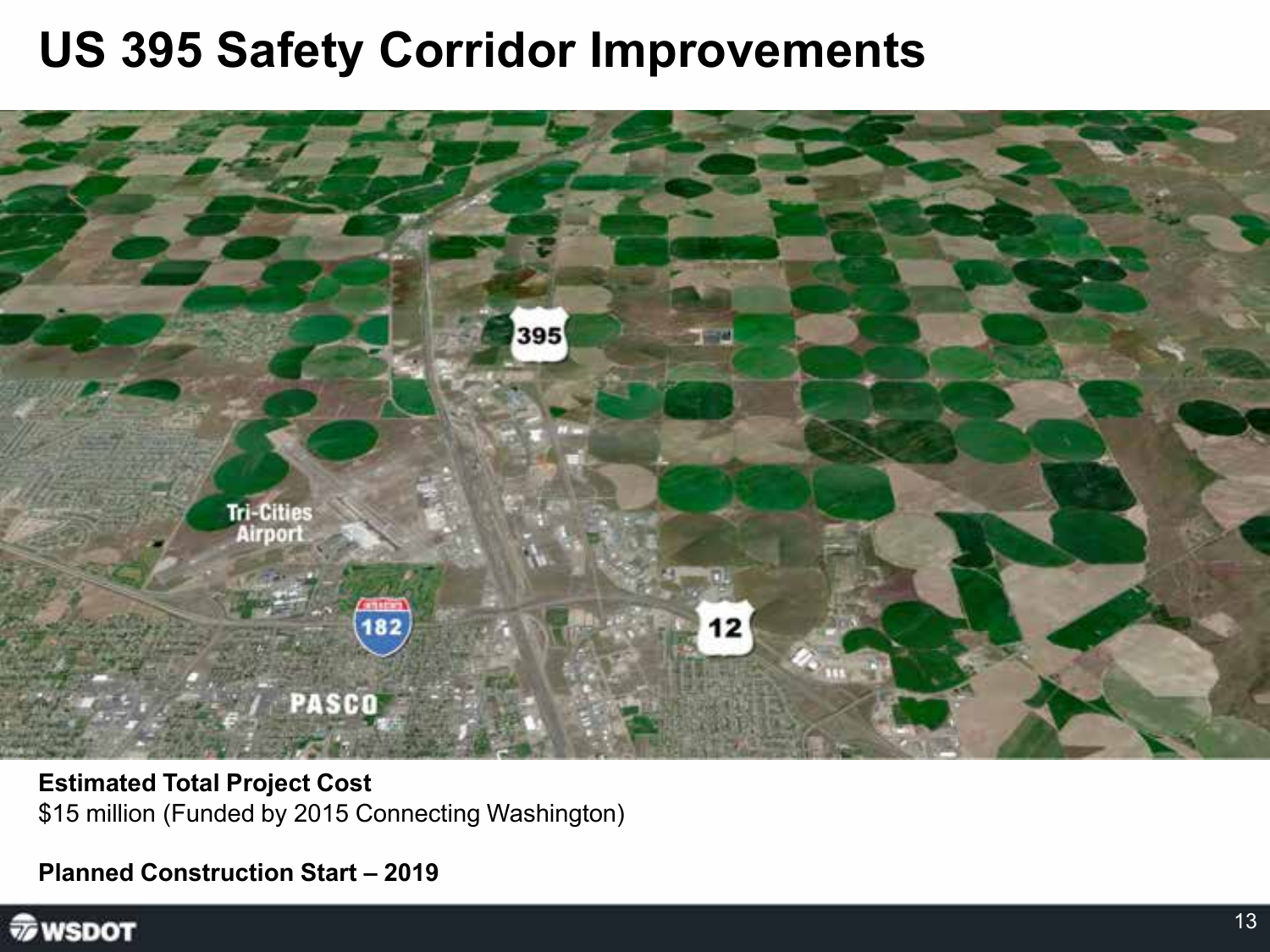#### **US 395 Safety Corridor Improvements**



**Estimated Total Project Cost** \$15 million (Funded by 2015 Connecting Washington)

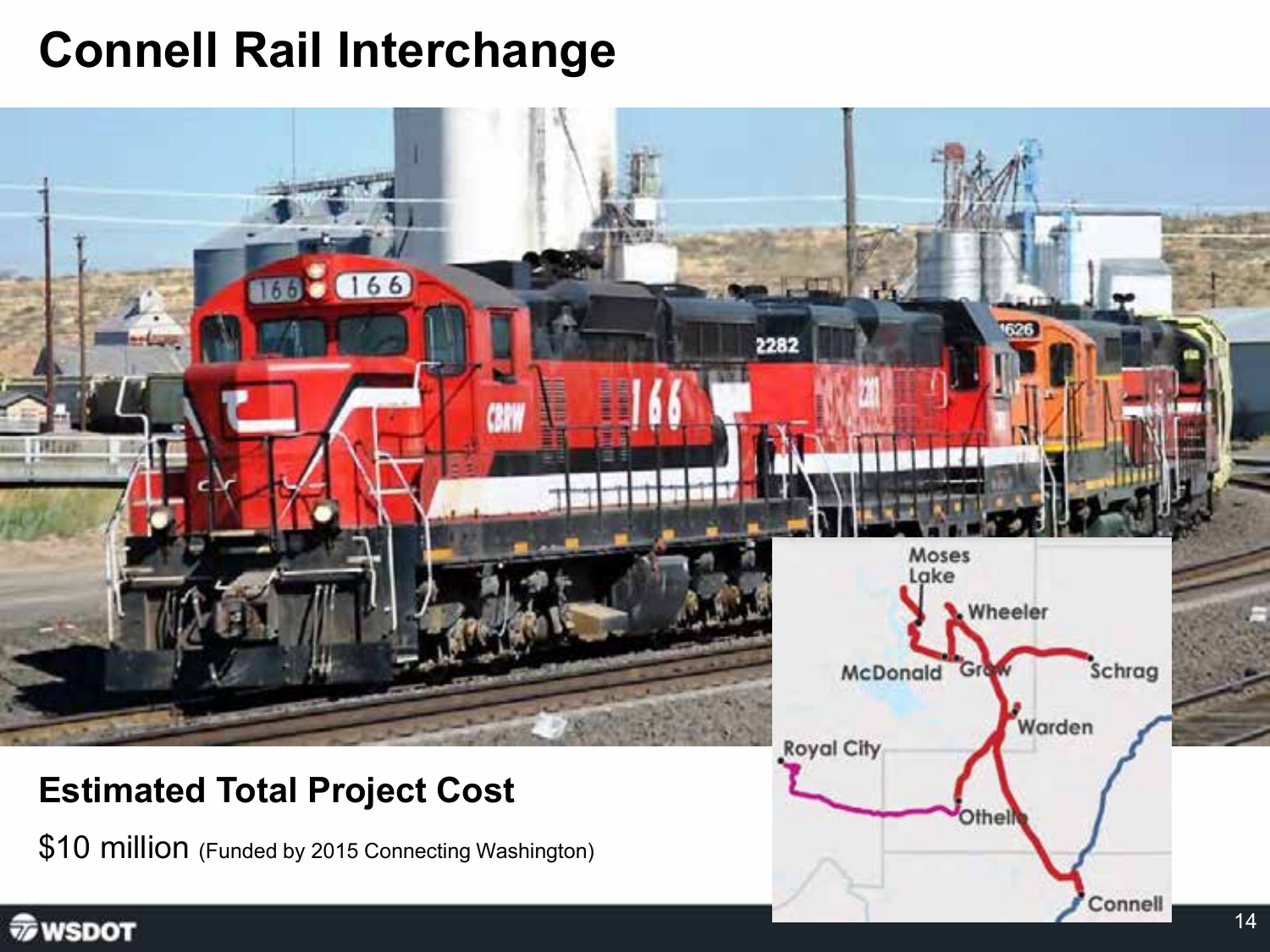### **Connell Rail Interchange**



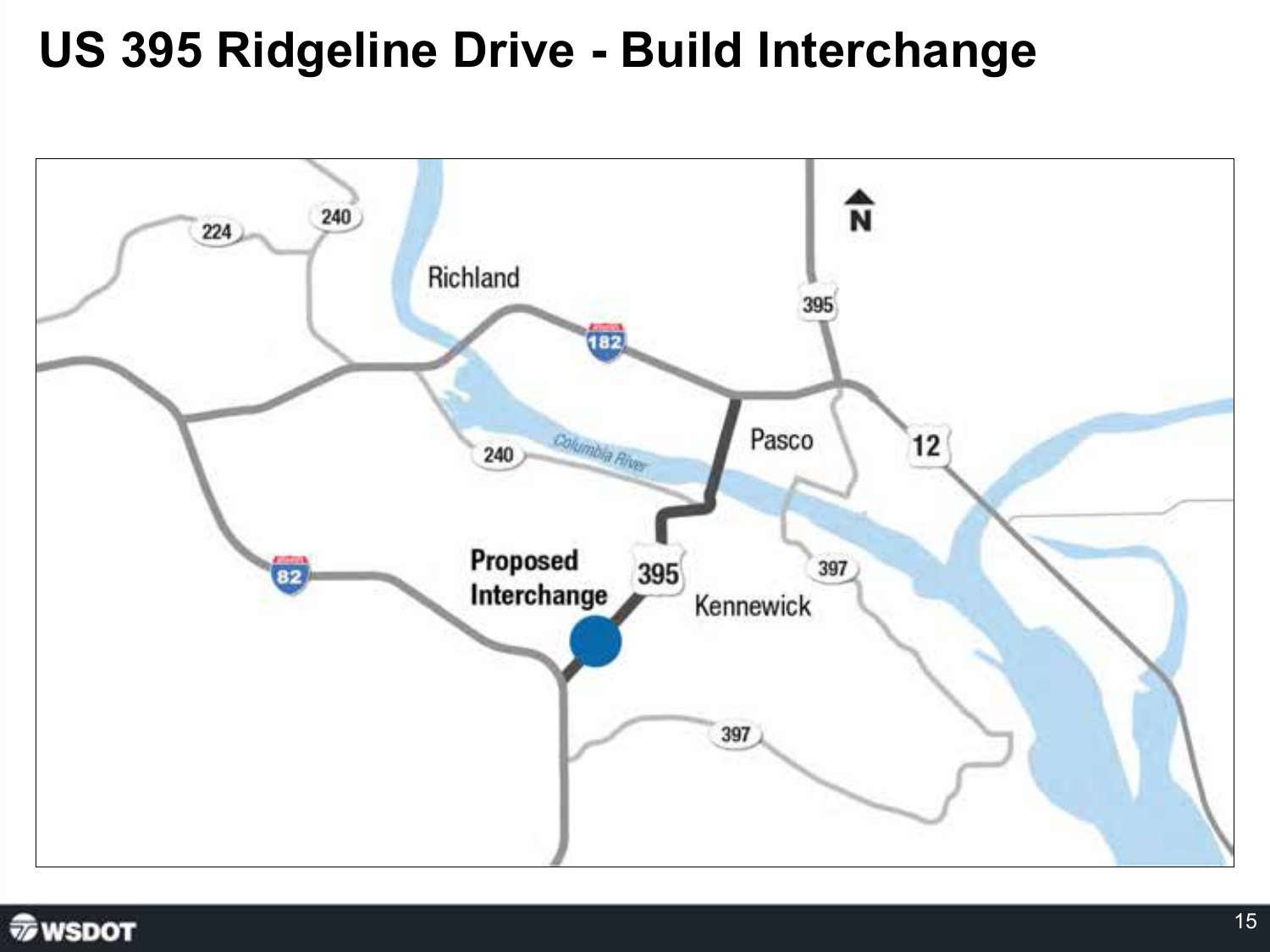#### **US 395 Ridgeline Drive - Build Interchange**



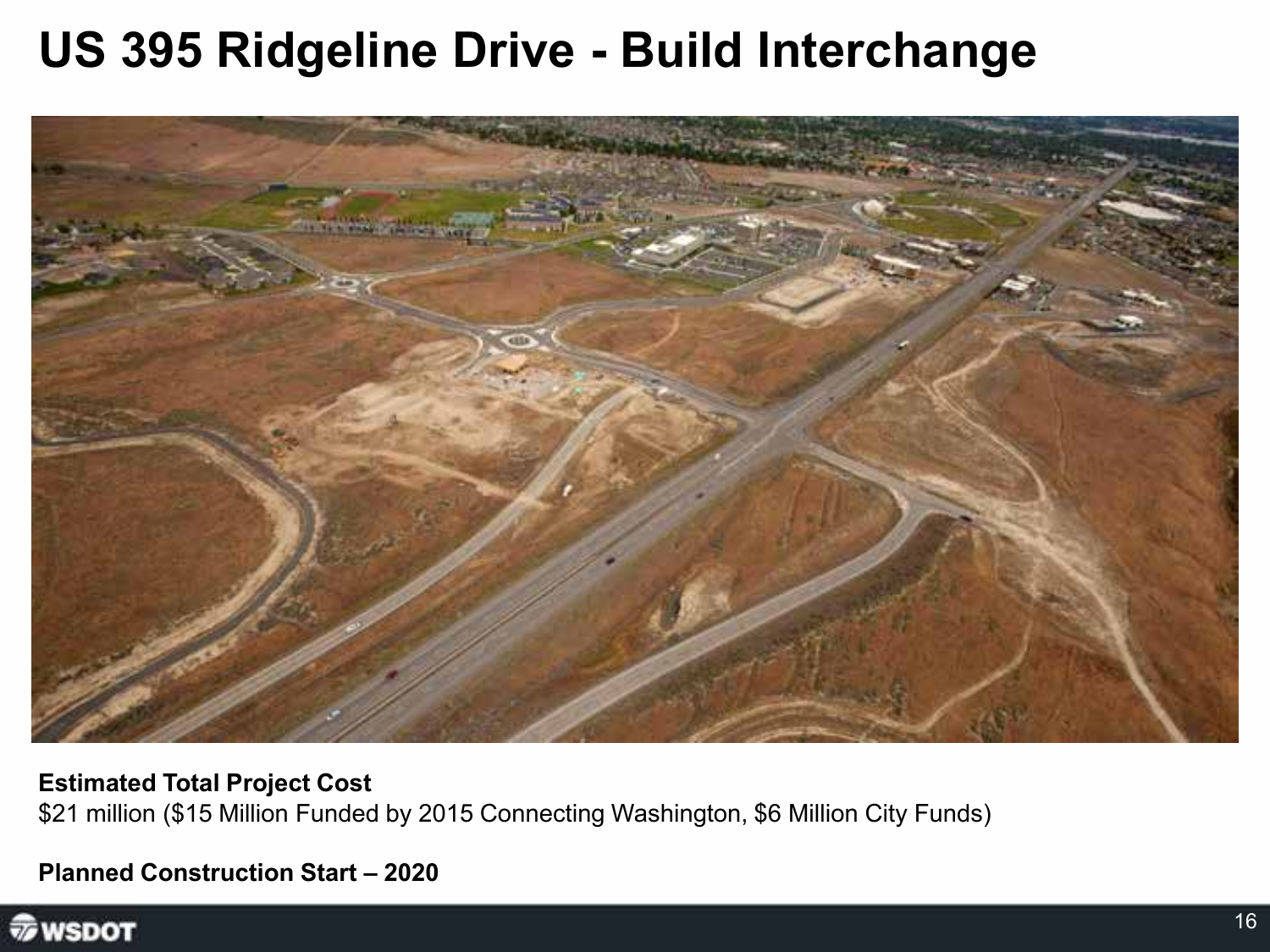#### **US 395 Ridgeline Drive - Build Interchange**



**Estimated Total Project Cost** \$21 million (\$15 Million Funded by 2015 Connecting Washington, \$6 Million City Funds)

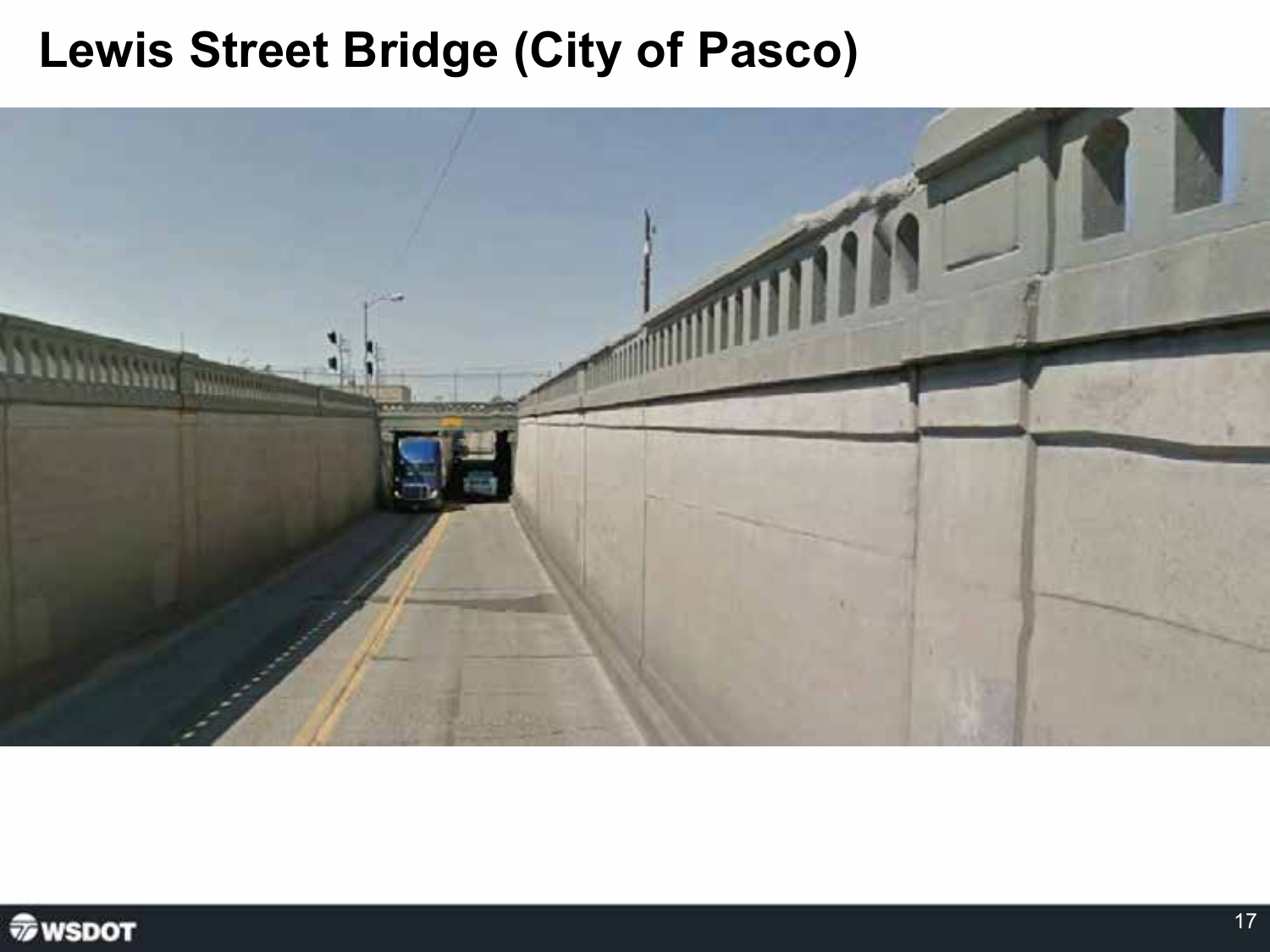#### **Lewis Street Bridge (City of Pasco)**



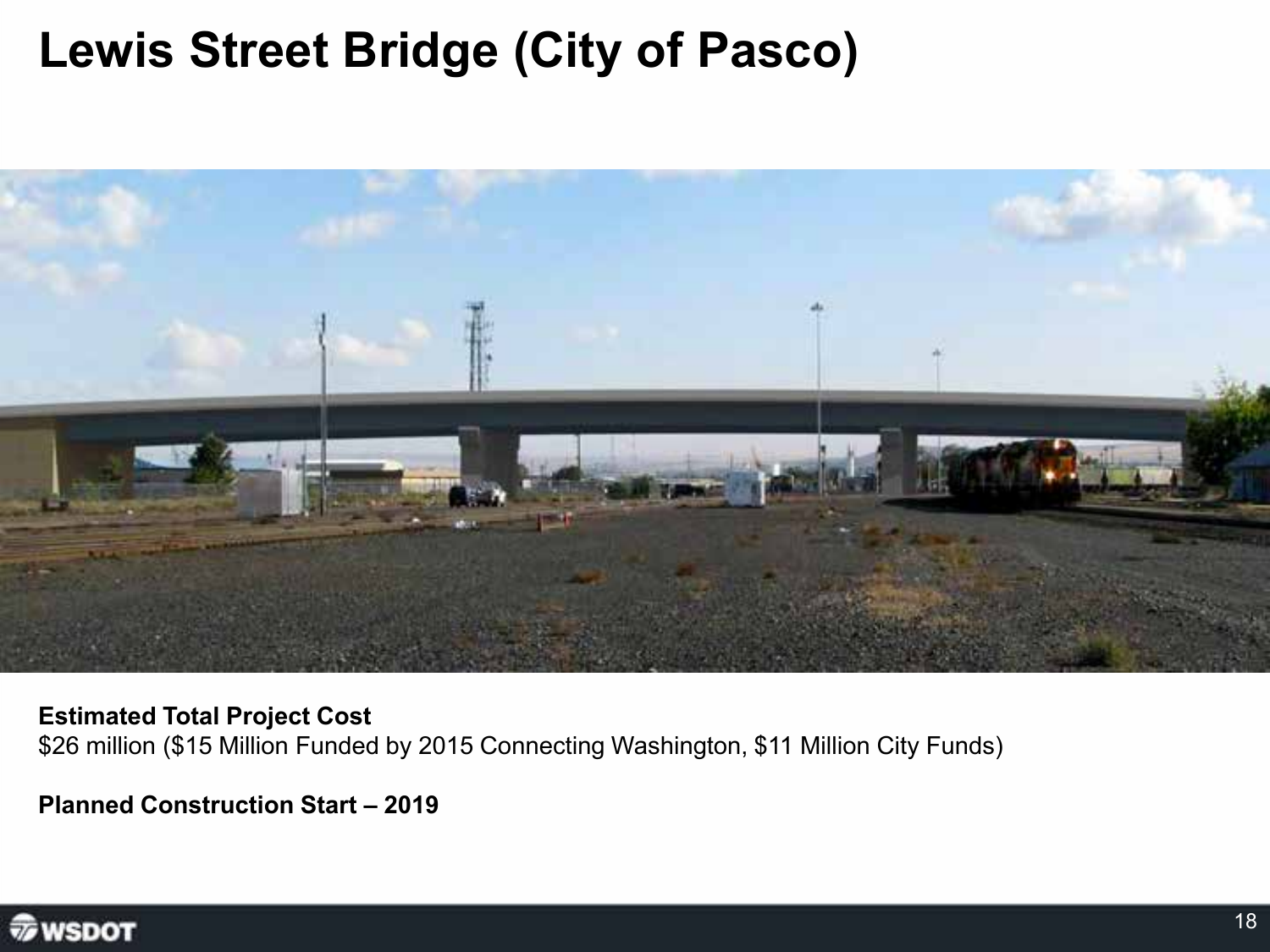#### **Lewis Street Bridge (City of Pasco)**



**Estimated Total Project Cost** \$26 million (\$15 Million Funded by 2015 Connecting Washington, \$11 Million City Funds)

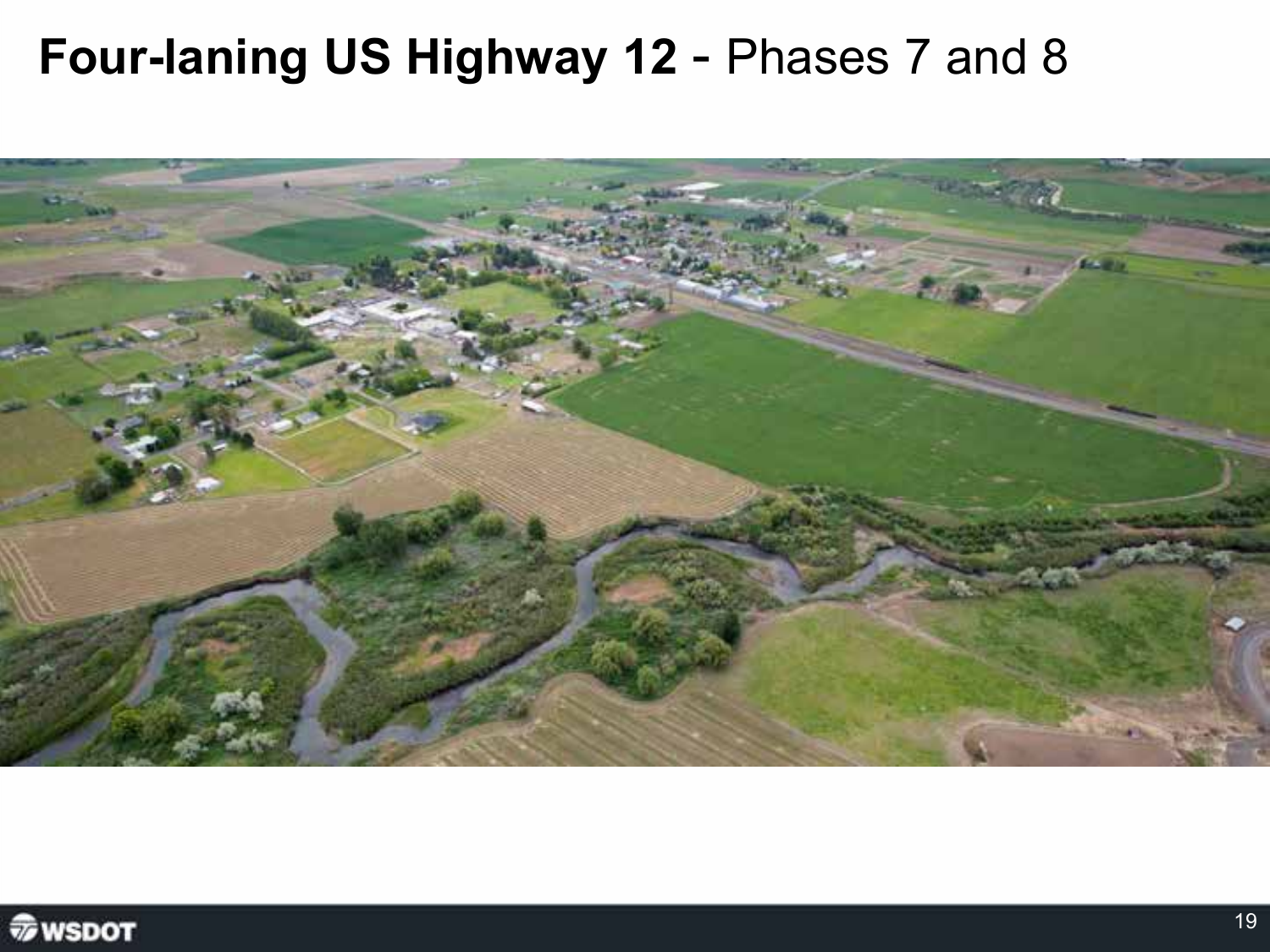#### Four-laning US Highway 12 - Phases 7 and 8



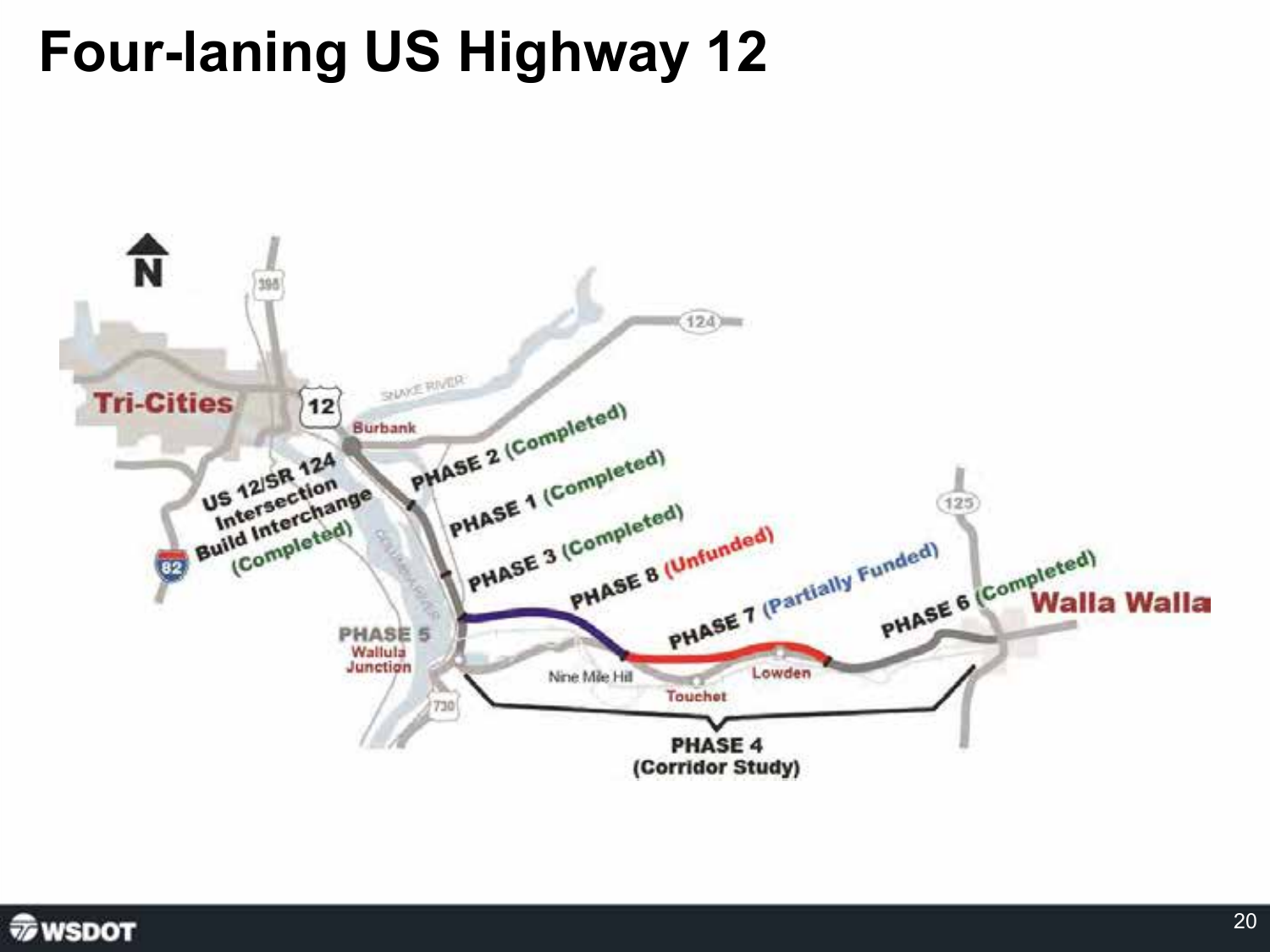## **Four-laning US Highway 12**



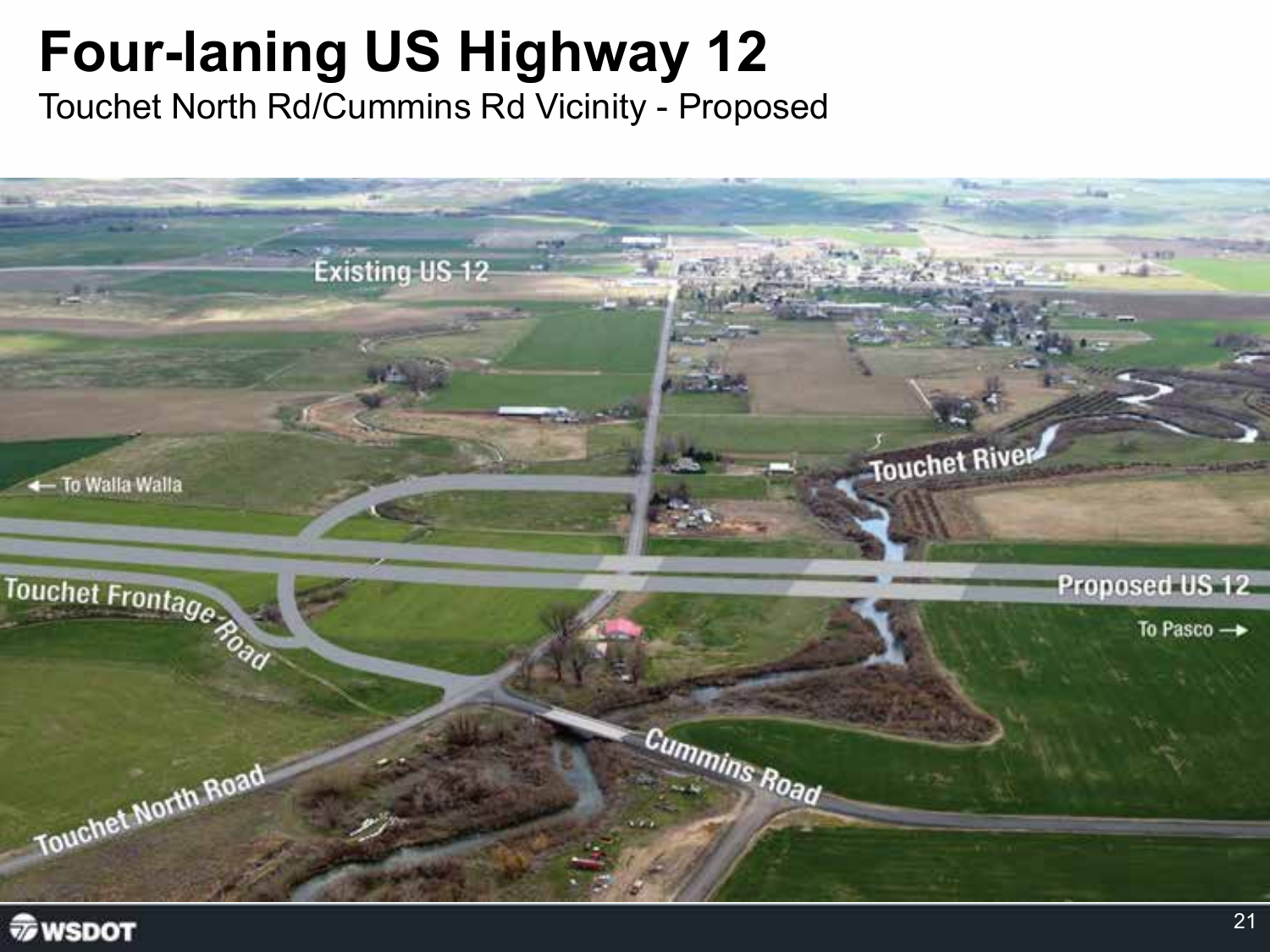## **Four-laning US Highway 12**

Touchet North Rd/Cummins Rd Vicinity - Proposed



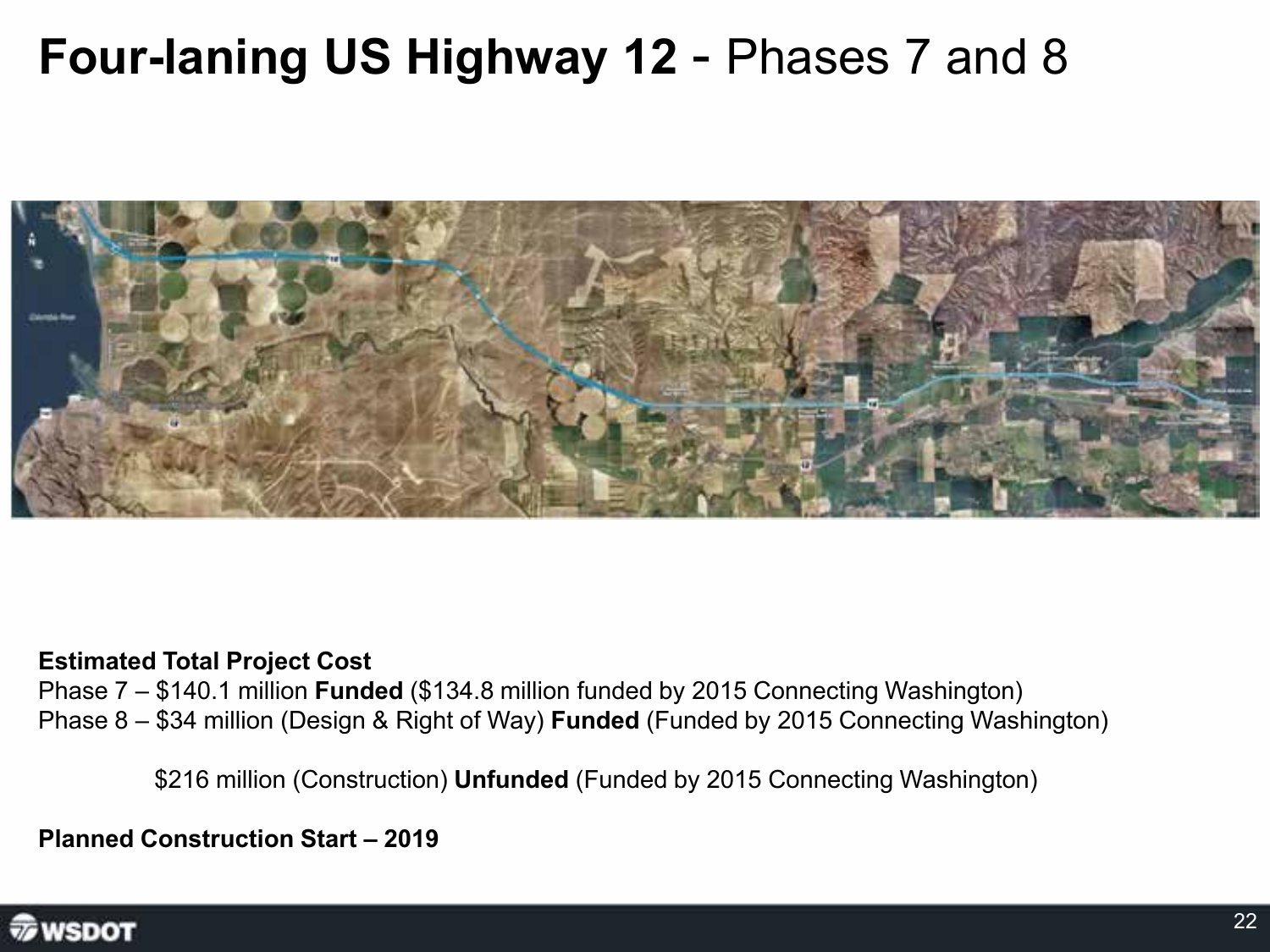### **Four-laning US Highway 12** - Phases 7 and 8



#### **Estimated Total Project Cost**

Phase 7 – \$140.1 million **Funded** (\$134.8 million funded by 2015 Connecting Washington) Phase 8 – \$34 million (Design & Right of Way) **Funded** (Funded by 2015 Connecting Washington)

\$216 million (Construction) **Unfunded** (Funded by 2015 Connecting Washington)